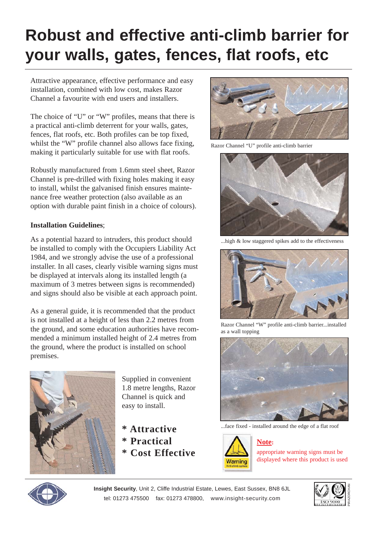## **Robust and effective anti-climb barrier for your walls, gates, fences, flat roofs, etc**

Attractive appearance, effective performance and easy installation, combined with low cost, makes Razor Channel a favourite with end users and installers.

The choice of "U" or "W" profiles, means that there is a practical anti-climb deterrent for your walls, gates, fences, flat roofs, etc. Both profiles can be top fixed, whilst the "W" profile channel also allows face fixing, making it particularly suitable for use with flat roofs.

Robustly manufactured from 1.6mm steel sheet, Razor Channel is pre-drilled with fixing holes making it easy to install, whilst the galvanised finish ensures maintenance free weather protection (also available as an option with durable paint finish in a choice of colours).

## **Installation Guidelines**;

As a potential hazard to intruders, this product should be installed to comply with the Occupiers Liability Act 1984, and we strongly advise the use of a professional installer. In all cases, clearly visible warning signs must be displayed at intervals along its installed length (a maximum of 3 metres between signs is recommended) and signs should also be visible at each approach point.

As a general guide, it is recommended that the product is not installed at a height of less than 2.2 metres from the ground, and some education authorities have recommended a minimum installed height of 2.4 metres from the ground, where the product is installed on school premises.



Supplied in convenient 1.8 metre lengths, Razor Channel is quick and easy to install.

**\* Attractive \* Practical \* Cost Effective**



Razor Channel "U" profile anti-climb barrier



...high & low staggered spikes add to the effectiveness



Razor Channel "W" profile anti-climb barrier...installed as a wall topping



...face fixed - installed around the edge of a flat roof



## **Note:**

appropriate warning signs must be displayed where this product is used



**Insight Security**, Unit 2, Cliffe Industrial Estate, Lewes, East Sussex, BN8 6JL tel: 01273 475500 fax: 01273 478800, www.insight-security.com